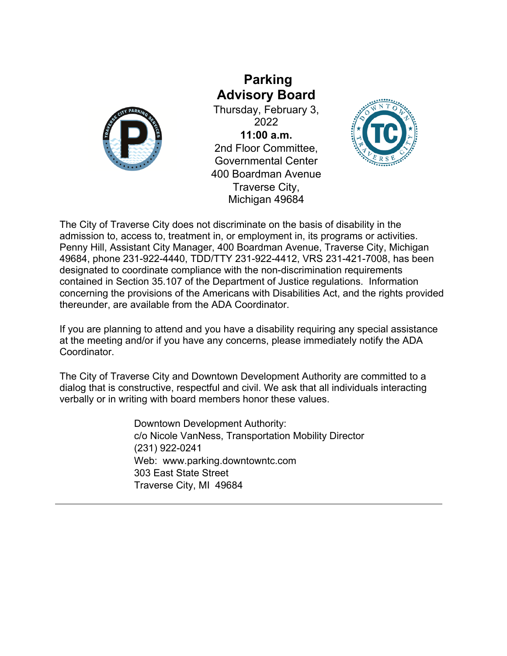

**Parking Advisory Board**

Thursday, February 3, 2022 **11:00 a.m.** 2nd Floor Committee, Governmental Center 400 Boardman Avenue Traverse City, Michigan 49684



The City of Traverse City does not discriminate on the basis of disability in the admission to, access to, treatment in, or employment in, its programs or activities. Penny Hill, Assistant City Manager, 400 Boardman Avenue, Traverse City, Michigan 49684, phone 231-922-4440, TDD/TTY 231-922-4412, VRS 231-421-7008, has been designated to coordinate compliance with the non-discrimination requirements contained in Section 35.107 of the Department of Justice regulations. Information concerning the provisions of the Americans with Disabilities Act, and the rights provided thereunder, are available from the ADA Coordinator.

If you are planning to attend and you have a disability requiring any special assistance at the meeting and/or if you have any concerns, please immediately notify the ADA Coordinator.

The City of Traverse City and Downtown Development Authority are committed to a dialog that is constructive, respectful and civil. We ask that all individuals interacting verbally or in writing with board members honor these values.

> Downtown Development Authority: c/o Nicole VanNess, Transportation Mobility Director (231) 922-0241 Web: www.parking.downtowntc.com 303 East State Street Traverse City, MI 49684